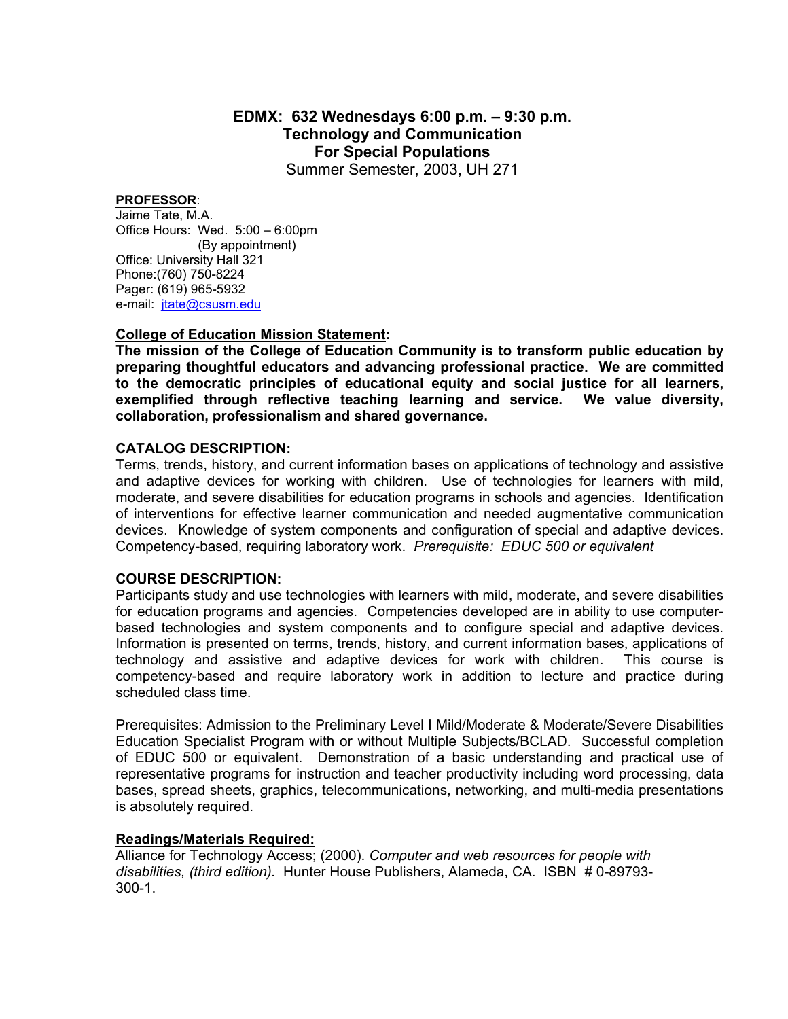# **EDMX: 632 Wednesdays 6:00 p.m. – 9:30 p.m. Technology and Communication For Special Populations**

Summer Semester, 2003, UH 271

#### **PROFESSOR**:

Jaime Tate, M.A. Office Hours: Wed. 5:00 – 6:00pm (By appointment) Office: University Hall 321 Phone:(760) 750-8224 Pager: (619) 965-5932 e-mail: [jtate@csusm.edu](mailto:jtate@csusm.edu)

### **College of Education Mission Statement:**

**The mission of the College of Education Community is to transform public education by preparing thoughtful educators and advancing professional practice. We are committed to the democratic principles of educational equity and social justice for all learners, exemplified through reflective teaching learning and service. We value diversity, collaboration, professionalism and shared governance.** 

#### **CATALOG DESCRIPTION:**

Terms, trends, history, and current information bases on applications of technology and assistive and adaptive devices for working with children. Use of technologies for learners with mild, moderate, and severe disabilities for education programs in schools and agencies. Identification of interventions for effective learner communication and needed augmentative communication devices. Knowledge of system components and configuration of special and adaptive devices. Competency-based, requiring laboratory work. *Prerequisite: EDUC 500 or equivalent*

#### **COURSE DESCRIPTION:**

Participants study and use technologies with learners with mild, moderate, and severe disabilities for education programs and agencies. Competencies developed are in ability to use computerbased technologies and system components and to configure special and adaptive devices. Information is presented on terms, trends, history, and current information bases, applications of technology and assistive and adaptive devices for work with children. This course is competency-based and require laboratory work in addition to lecture and practice during scheduled class time.

Prerequisites: Admission to the Preliminary Level I Mild/Moderate & Moderate/Severe Disabilities Education Specialist Program with or without Multiple Subjects/BCLAD. Successful completion of EDUC 500 or equivalent. Demonstration of a basic understanding and practical use of representative programs for instruction and teacher productivity including word processing, data bases, spread sheets, graphics, telecommunications, networking, and multi-media presentations is absolutely required.

#### **Readings/Materials Required:**

Alliance for Technology Access; (2000). *Computer and web resources for people with disabilities, (third edition).* Hunter House Publishers, Alameda, CA. ISBN # 0-89793- 300-1.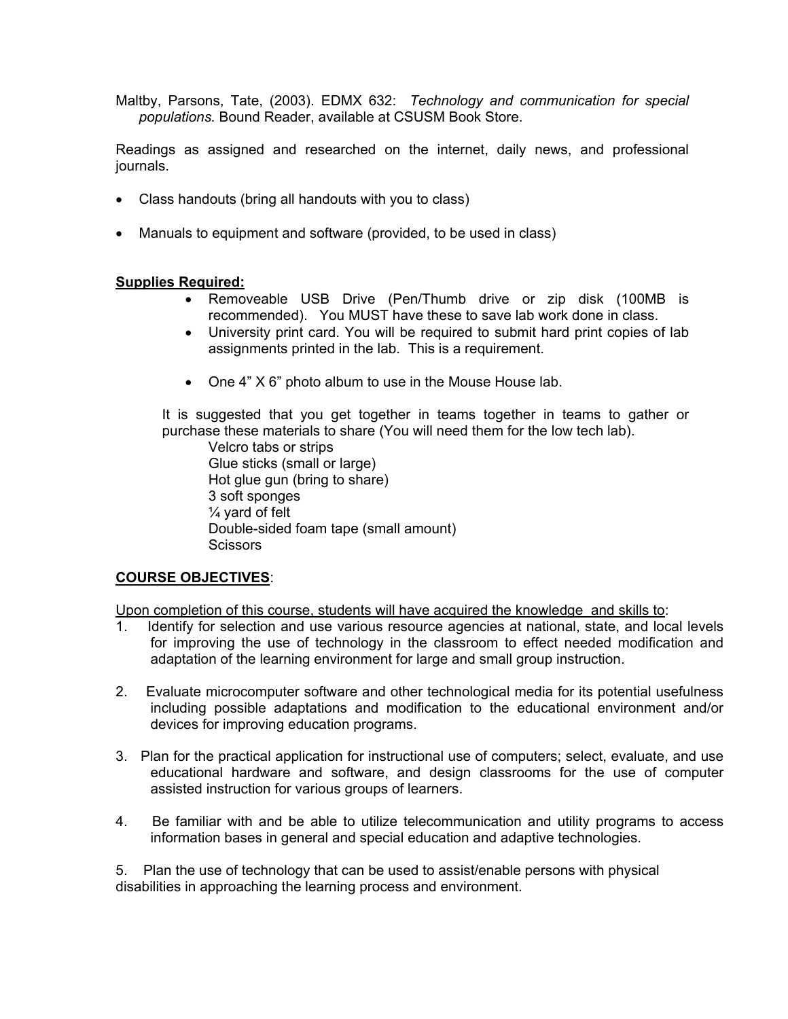Maltby, Parsons, Tate, (2003). EDMX 632: *Technology and communication for special populations.* Bound Reader, available at CSUSM Book Store.

Readings as assigned and researched on the internet, daily news, and professional journals.

- Class handouts (bring all handouts with you to class)
- Manuals to equipment and software (provided, to be used in class)

## **Supplies Required:**

- Removeable USB Drive (Pen/Thumb drive or zip disk (100MB is recommended). You MUST have these to save lab work done in class.
- University print card. You will be required to submit hard print copies of lab assignments printed in the lab. This is a requirement.
- One 4" X 6" photo album to use in the Mouse House lab.

It is suggested that you get together in teams together in teams to gather or purchase these materials to share (You will need them for the low tech lab).

 Velcro tabs or strips Glue sticks (small or large) Hot glue gun (bring to share) 3 soft sponges ¼ yard of felt Double-sided foam tape (small amount) **Scissors** 

### **COURSE OBJECTIVES**:

Upon completion of this course, students will have acquired the knowledge and skills to:

- 1. Identify for selection and use various resource agencies at national, state, and local levels for improving the use of technology in the classroom to effect needed modification and adaptation of the learning environment for large and small group instruction.
- 2. Evaluate microcomputer software and other technological media for its potential usefulness including possible adaptations and modification to the educational environment and/or devices for improving education programs.
- 3. Plan for the practical application for instructional use of computers; select, evaluate, and use educational hardware and software, and design classrooms for the use of computer assisted instruction for various groups of learners.
- 4. Be familiar with and be able to utilize telecommunication and utility programs to access information bases in general and special education and adaptive technologies.

5. Plan the use of technology that can be used to assist/enable persons with physical disabilities in approaching the learning process and environment.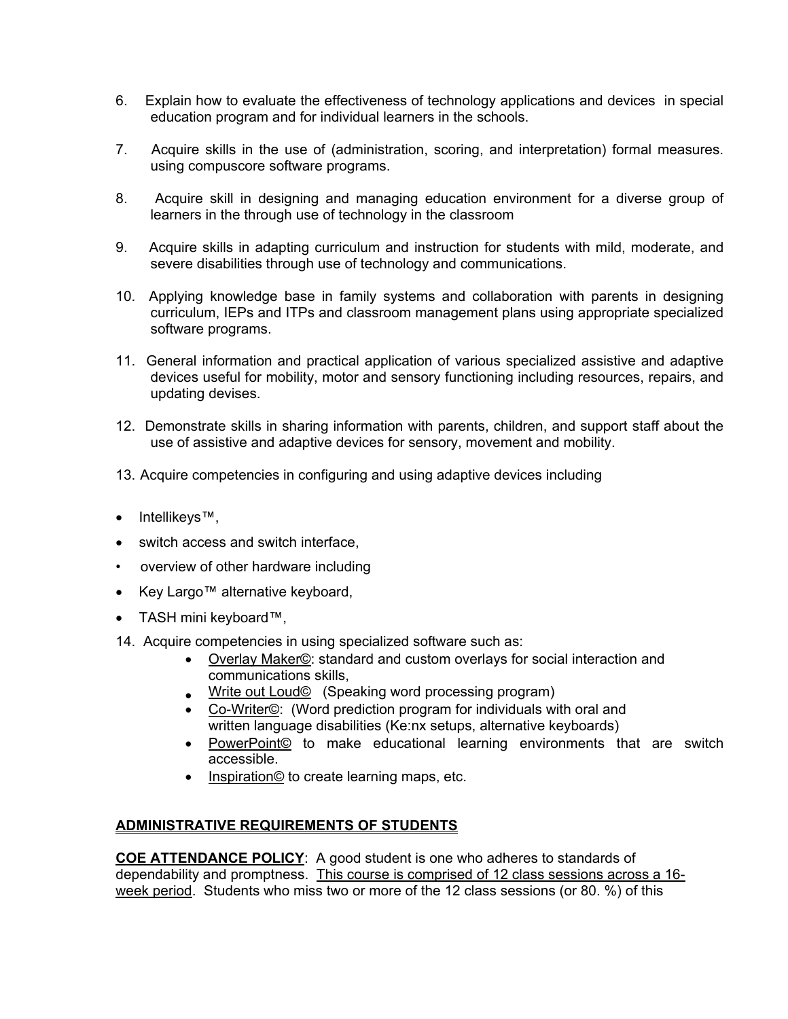- 6. Explain how to evaluate the effectiveness of technology applications and devices in special education program and for individual learners in the schools.
- 7. Acquire skills in the use of (administration, scoring, and interpretation) formal measures. using compuscore software programs.
- 8. Acquire skill in designing and managing education environment for a diverse group of learners in the through use of technology in the classroom
- 9. Acquire skills in adapting curriculum and instruction for students with mild, moderate, and severe disabilities through use of technology and communications.
- 10. Applying knowledge base in family systems and collaboration with parents in designing curriculum, IEPs and ITPs and classroom management plans using appropriate specialized software programs.
- 11. General information and practical application of various specialized assistive and adaptive devices useful for mobility, motor and sensory functioning including resources, repairs, and updating devises.
- 12. Demonstrate skills in sharing information with parents, children, and support staff about the use of assistive and adaptive devices for sensory, movement and mobility.
- 13. Acquire competencies in configuring and using adaptive devices including
- Intellikeys™,
- switch access and switch interface,
- overview of other hardware including
- Key Largo™ alternative keyboard,
- TASH mini keyboard™,
- 14. Acquire competencies in using specialized software such as:
	- Overlay Maker©: standard and custom overlays for social interaction and communications skills,
	- Write out Loud© (Speaking word processing program)
	- Co-Writer©: (Word prediction program for individuals with oral and written language disabilities (Ke:nx setups, alternative keyboards)
	- PowerPoint© to make educational learning environments that are switch accessible.
	- Inspiration© to create learning maps, etc.

## **ADMINISTRATIVE REQUIREMENTS OF STUDENTS**

**COE ATTENDANCE POLICY**: A good student is one who adheres to standards of dependability and promptness. This course is comprised of 12 class sessions across a 16 week period. Students who miss two or more of the 12 class sessions (or 80. %) of this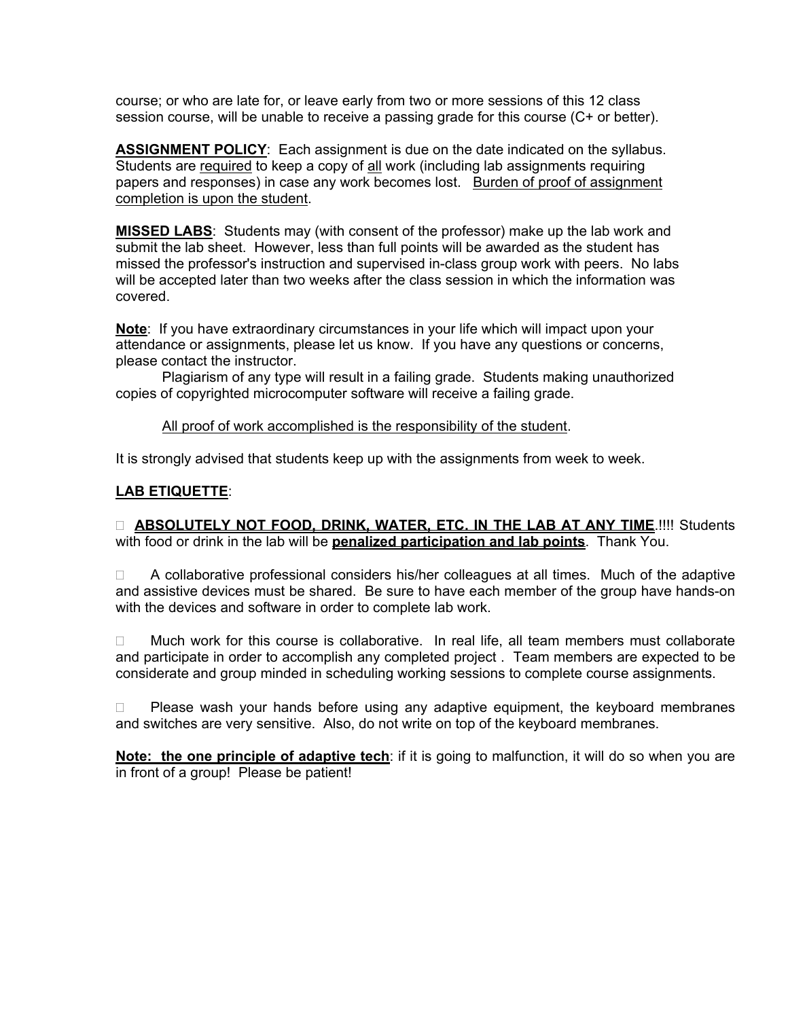course; or who are late for, or leave early from two or more sessions of this 12 class session course, will be unable to receive a passing grade for this course (C+ or better).

**ASSIGNMENT POLICY**: Each assignment is due on the date indicated on the syllabus. Students are required to keep a copy of all work (including lab assignments requiring papers and responses) in case any work becomes lost. Burden of proof of assignment completion is upon the student.

**MISSED LABS**: Students may (with consent of the professor) make up the lab work and submit the lab sheet. However, less than full points will be awarded as the student has missed the professor's instruction and supervised in-class group work with peers. No labs will be accepted later than two weeks after the class session in which the information was covered.

**Note**: If you have extraordinary circumstances in your life which will impact upon your attendance or assignments, please let us know. If you have any questions or concerns, please contact the instructor.

 Plagiarism of any type will result in a failing grade. Students making unauthorized copies of copyrighted microcomputer software will receive a failing grade.

## All proof of work accomplished is the responsibility of the student.

It is strongly advised that students keep up with the assignments from week to week.

## **LAB ETIQUETTE**:

 **ABSOLUTELY NOT FOOD, DRINK, WATER, ETC. IN THE LAB AT ANY TIME**.!!!! Students with food or drink in the lab will be **penalized participation and lab points**. Thank You.

 $\Box$  A collaborative professional considers his/her colleagues at all times. Much of the adaptive and assistive devices must be shared. Be sure to have each member of the group have hands-on with the devices and software in order to complete lab work.

 $\Box$  Much work for this course is collaborative. In real life, all team members must collaborate and participate in order to accomplish any completed project . Team members are expected to be considerate and group minded in scheduling working sessions to complete course assignments.

 $\Box$  Please wash your hands before using any adaptive equipment, the keyboard membranes and switches are very sensitive. Also, do not write on top of the keyboard membranes.

**Note: the one principle of adaptive tech**: if it is going to malfunction, it will do so when you are in front of a group! Please be patient!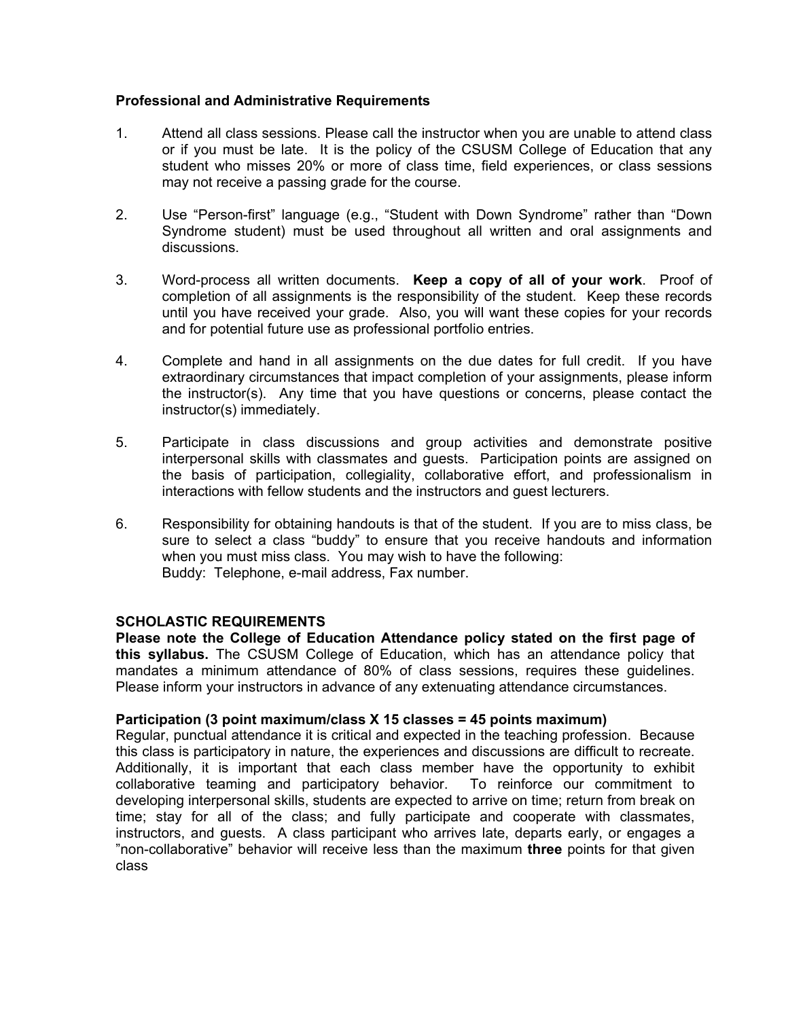## **Professional and Administrative Requirements**

- 1. Attend all class sessions. Please call the instructor when you are unable to attend class or if you must be late. It is the policy of the CSUSM College of Education that any student who misses 20% or more of class time, field experiences, or class sessions may not receive a passing grade for the course.
- 2. Use "Person-first" language (e.g., "Student with Down Syndrome" rather than "Down Syndrome student) must be used throughout all written and oral assignments and discussions.
- 3. Word-process all written documents. **Keep a copy of all of your work**. Proof of completion of all assignments is the responsibility of the student. Keep these records until you have received your grade. Also, you will want these copies for your records and for potential future use as professional portfolio entries.
- 4. Complete and hand in all assignments on the due dates for full credit. If you have extraordinary circumstances that impact completion of your assignments, please inform the instructor(s). Any time that you have questions or concerns, please contact the instructor(s) immediately.
- 5. Participate in class discussions and group activities and demonstrate positive interpersonal skills with classmates and guests. Participation points are assigned on the basis of participation, collegiality, collaborative effort, and professionalism in interactions with fellow students and the instructors and guest lecturers.
- 6. Responsibility for obtaining handouts is that of the student. If you are to miss class, be sure to select a class "buddy" to ensure that you receive handouts and information when you must miss class. You may wish to have the following: Buddy: Telephone, e-mail address, Fax number.

## **SCHOLASTIC REQUIREMENTS**

**Please note the College of Education Attendance policy stated on the first page of this syllabus.** The CSUSM College of Education, which has an attendance policy that mandates a minimum attendance of 80% of class sessions, requires these guidelines. Please inform your instructors in advance of any extenuating attendance circumstances.

### **Participation (3 point maximum/class X 15 classes = 45 points maximum)**

Regular, punctual attendance it is critical and expected in the teaching profession. Because this class is participatory in nature, the experiences and discussions are difficult to recreate. Additionally, it is important that each class member have the opportunity to exhibit collaborative teaming and participatory behavior. To reinforce our commitment to developing interpersonal skills, students are expected to arrive on time; return from break on time; stay for all of the class; and fully participate and cooperate with classmates, instructors, and guests. A class participant who arrives late, departs early, or engages a "non-collaborative" behavior will receive less than the maximum **three** points for that given class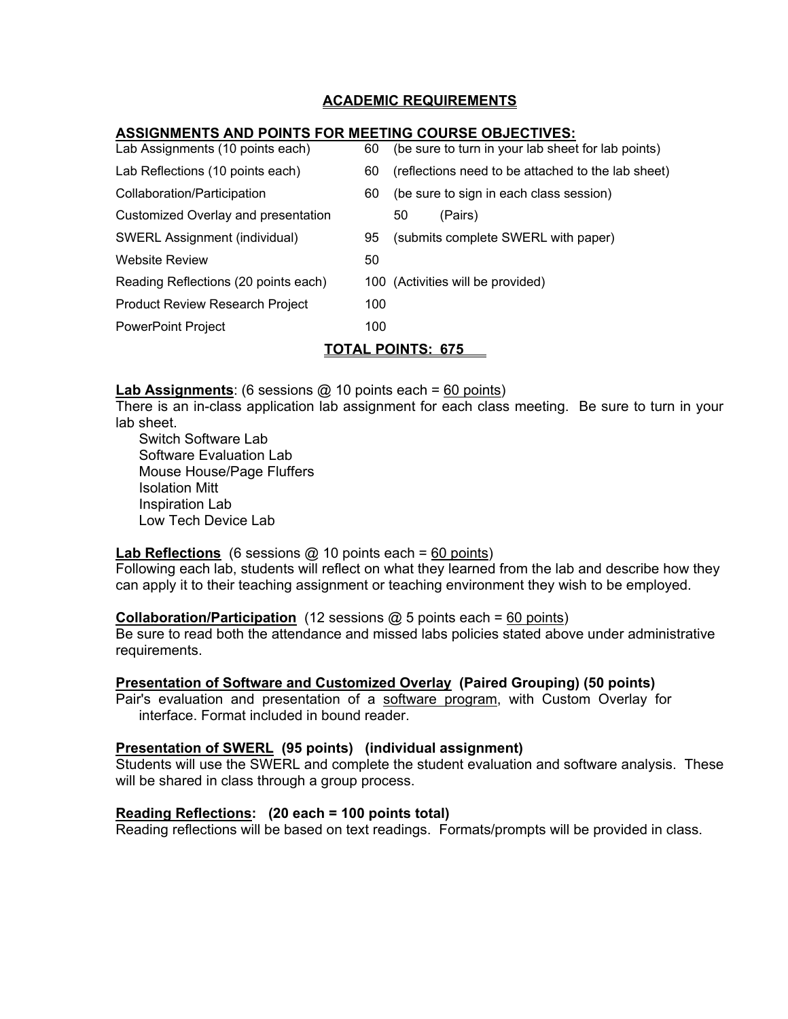## **ACADEMIC REQUIREMENTS**

## **ASSIGNMENTS AND POINTS FOR MEETING COURSE OBJECTIVES:**

| Lab Assignments (10 points each)       | 60  | (be sure to turn in your lab sheet for lab points) |  |  |  |  |
|----------------------------------------|-----|----------------------------------------------------|--|--|--|--|
| Lab Reflections (10 points each)       | 60  | (reflections need to be attached to the lab sheet) |  |  |  |  |
| Collaboration/Participation            | 60  | (be sure to sign in each class session)            |  |  |  |  |
| Customized Overlay and presentation    |     | (Pairs)<br>50                                      |  |  |  |  |
| SWERL Assignment (individual)          | 95  | (submits complete SWERL with paper)                |  |  |  |  |
| <b>Website Review</b>                  | 50  |                                                    |  |  |  |  |
| Reading Reflections (20 points each)   |     | 100 (Activities will be provided)                  |  |  |  |  |
| <b>Product Review Research Project</b> | 100 |                                                    |  |  |  |  |
| <b>PowerPoint Project</b>              | 100 |                                                    |  |  |  |  |
| <u>TOTAL POINTS:  675 </u>             |     |                                                    |  |  |  |  |

**Lab Assignments**: (6 sessions @ 10 points each = 60 points)

There is an in-class application lab assignment for each class meeting. Be sure to turn in your lab sheet.

 Switch Software Lab Software Evaluation Lab Mouse House/Page Fluffers Isolation Mitt Inspiration Lab Low Tech Device Lab

## **Lab Reflections** (6 sessions @ 10 points each = 60 points)

Following each lab, students will reflect on what they learned from the lab and describe how they can apply it to their teaching assignment or teaching environment they wish to be employed.

### **Collaboration/Participation** (12 sessions @ 5 points each = 60 points)

Be sure to read both the attendance and missed labs policies stated above under administrative requirements.

### **Presentation of Software and Customized Overlay (Paired Grouping) (50 points)**

Pair's evaluation and presentation of a software program, with Custom Overlay for interface. Format included in bound reader.

### **Presentation of SWERL (95 points) (individual assignment)**

Students will use the SWERL and complete the student evaluation and software analysis. These will be shared in class through a group process.

### **Reading Reflections: (20 each = 100 points total)**

Reading reflections will be based on text readings. Formats/prompts will be provided in class.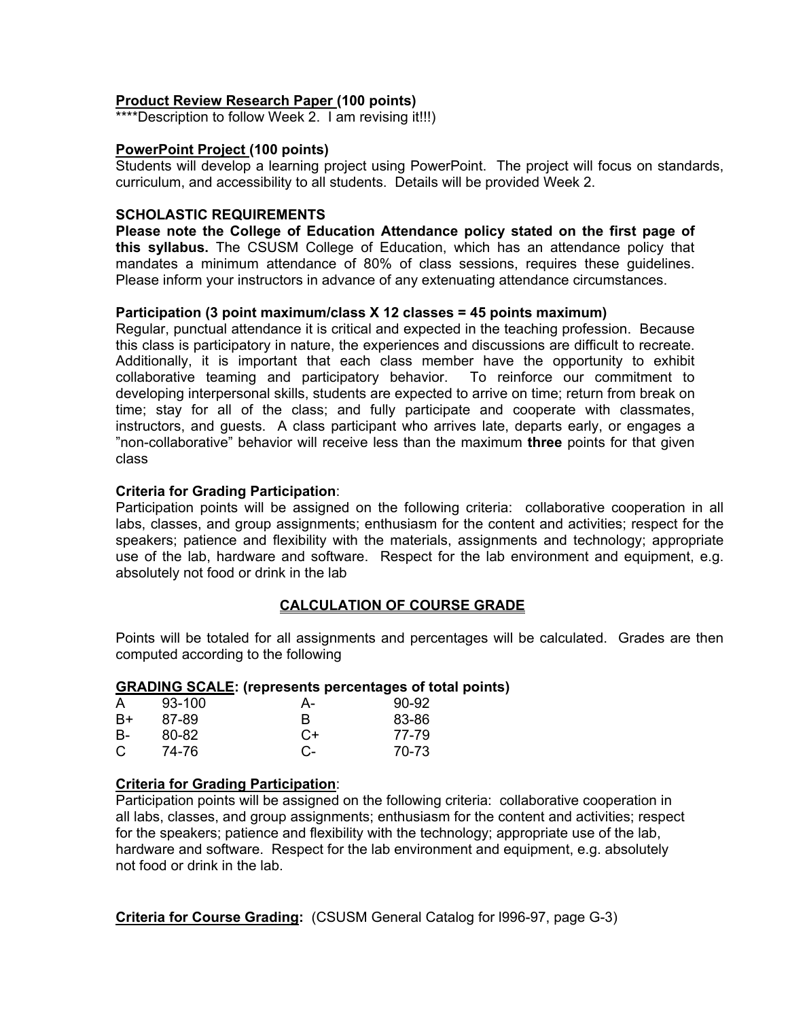## **Product Review Research Paper (100 points)**

\*\*\*\*Description to follow Week 2. I am revising it!!!)

### **PowerPoint Project (100 points)**

Students will develop a learning project using PowerPoint. The project will focus on standards, curriculum, and accessibility to all students. Details will be provided Week 2.

## **SCHOLASTIC REQUIREMENTS**

**Please note the College of Education Attendance policy stated on the first page of this syllabus.** The CSUSM College of Education, which has an attendance policy that mandates a minimum attendance of 80% of class sessions, requires these guidelines. Please inform your instructors in advance of any extenuating attendance circumstances.

## **Participation (3 point maximum/class X 12 classes = 45 points maximum)**

Regular, punctual attendance it is critical and expected in the teaching profession. Because this class is participatory in nature, the experiences and discussions are difficult to recreate. Additionally, it is important that each class member have the opportunity to exhibit collaborative teaming and participatory behavior. To reinforce our commitment to developing interpersonal skills, students are expected to arrive on time; return from break on time; stay for all of the class; and fully participate and cooperate with classmates, instructors, and guests. A class participant who arrives late, departs early, or engages a "non-collaborative" behavior will receive less than the maximum **three** points for that given class

## **Criteria for Grading Participation**:

Participation points will be assigned on the following criteria: collaborative cooperation in all labs, classes, and group assignments; enthusiasm for the content and activities; respect for the speakers; patience and flexibility with the materials, assignments and technology; appropriate use of the lab, hardware and software. Respect for the lab environment and equipment, e.g. absolutely not food or drink in the lab

## **CALCULATION OF COURSE GRADE**

Points will be totaled for all assignments and percentages will be calculated. Grades are then computed according to the following

### **GRADING SCALE: (represents percentages of total points)**

| A         | 93-100 | А-   | $90-92$ |
|-----------|--------|------|---------|
| B+        | 87-89  | R    | 83-86   |
| <b>B-</b> | 80-82  | $C+$ | 77-79   |
| C         | 74-76  | C-   | 70-73   |

## **Criteria for Grading Participation**:

Participation points will be assigned on the following criteria: collaborative cooperation in all labs, classes, and group assignments; enthusiasm for the content and activities; respect for the speakers; patience and flexibility with the technology; appropriate use of the lab, hardware and software. Respect for the lab environment and equipment, e.g. absolutely not food or drink in the lab.

**Criteria for Course Grading:** (CSUSM General Catalog for l996-97, page G-3)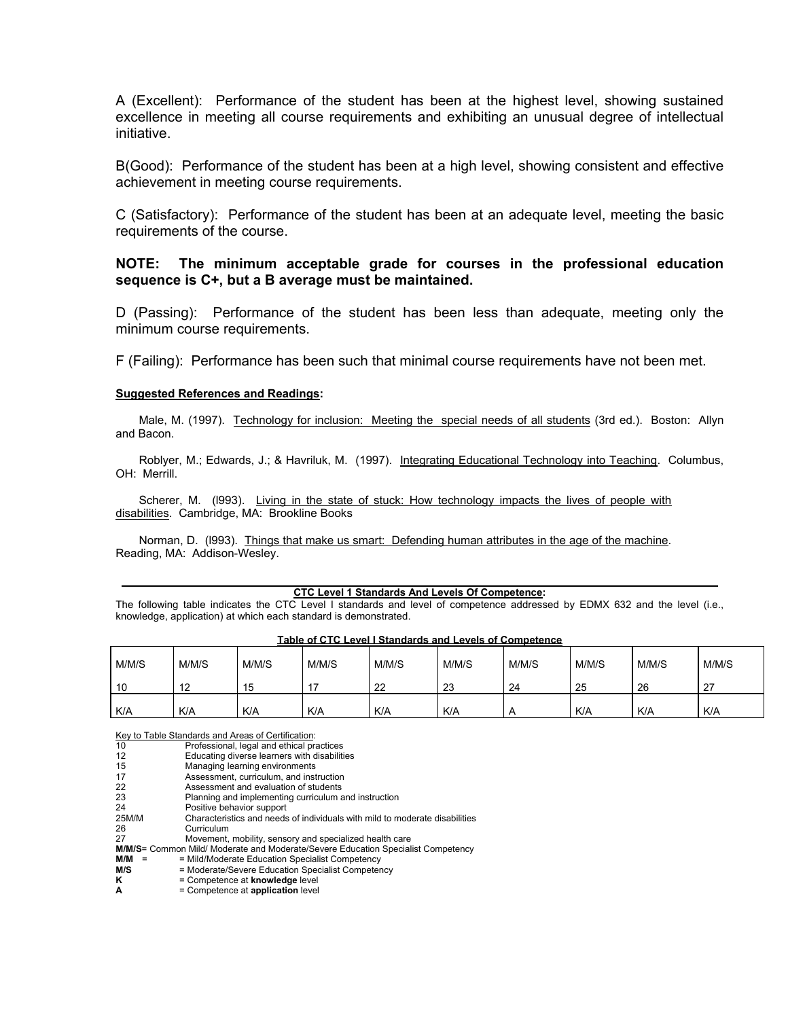A (Excellent): Performance of the student has been at the highest level, showing sustained excellence in meeting all course requirements and exhibiting an unusual degree of intellectual initiative.

B(Good): Performance of the student has been at a high level, showing consistent and effective achievement in meeting course requirements.

C (Satisfactory): Performance of the student has been at an adequate level, meeting the basic requirements of the course.

#### **NOTE: The minimum acceptable grade for courses in the professional education sequence is C+, but a B average must be maintained.**

D (Passing): Performance of the student has been less than adequate, meeting only the minimum course requirements.

F (Failing): Performance has been such that minimal course requirements have not been met.

#### **Suggested References and Readings:**

Male, M. (1997). Technology for inclusion: Meeting the special needs of all students (3rd ed.). Boston: Allyn and Bacon.

Roblyer, M.; Edwards, J.; & Havriluk, M. (1997). Integrating Educational Technology into Teaching. Columbus, OH: Merrill.

Scherer, M. (1993). Living in the state of stuck: How technology impacts the lives of people with disabilities. Cambridge, MA: Brookline Books

Norman, D. (l993). Things that make us smart: Defending human attributes in the age of the machine. Reading, MA: Addison-Wesley.

#### **CTC Level 1 Standards And Levels Of Competence:**

The following table indicates the CTC Level I standards and level of competence addressed by EDMX 632 and the level (i.e., knowledge, application) at which each standard is demonstrated.

| <b>TADIC OF OF LEVEL FORTHALGE ATM LEVELS OF COMPUTER</b> |       |       |       |       |            |       |       |       |       |
|-----------------------------------------------------------|-------|-------|-------|-------|------------|-------|-------|-------|-------|
| M/M/S                                                     | M/M/S | M/M/S | M/M/S | M/M/S | M/M/S      | M/M/S | M/M/S | M/M/S | M/M/S |
| 10                                                        |       | 15    |       | 22    | 23         | 24    | 25    | 26    | 27    |
| K/A                                                       | K/A   | K/A   | K/A   | K/A   | <b>K/A</b> | Α     | K/A   | K/A   | K/A   |

#### **Table of CTC Level I Standards and Levels of Competence**

Key to Table Standards and Areas of Certification:

 $\overline{a}$ 

| 10                                                                               | Professional, legal and ethical practices                                   |  |  |  |  |
|----------------------------------------------------------------------------------|-----------------------------------------------------------------------------|--|--|--|--|
| 12                                                                               | Educating diverse learners with disabilities                                |  |  |  |  |
| 15                                                                               | Managing learning environments                                              |  |  |  |  |
| 17                                                                               | Assessment, curriculum, and instruction                                     |  |  |  |  |
| 22                                                                               | Assessment and evaluation of students                                       |  |  |  |  |
| 23                                                                               | Planning and implementing curriculum and instruction                        |  |  |  |  |
| 24                                                                               | Positive behavior support                                                   |  |  |  |  |
| 25M/M                                                                            | Characteristics and needs of individuals with mild to moderate disabilities |  |  |  |  |
| 26                                                                               | Curriculum                                                                  |  |  |  |  |
| 27                                                                               | Movement, mobility, sensory and specialized health care                     |  |  |  |  |
| M/M/S= Common Mild/ Moderate and Moderate/Severe Education Specialist Competency |                                                                             |  |  |  |  |
| M/M<br>$\equiv$                                                                  | = Mild/Moderate Education Specialist Competency                             |  |  |  |  |
| M/S                                                                              | = Moderate/Severe Education Specialist Competency                           |  |  |  |  |
| κ                                                                                | = Competence at knowledge level                                             |  |  |  |  |
| A                                                                                | = Competence at application level                                           |  |  |  |  |